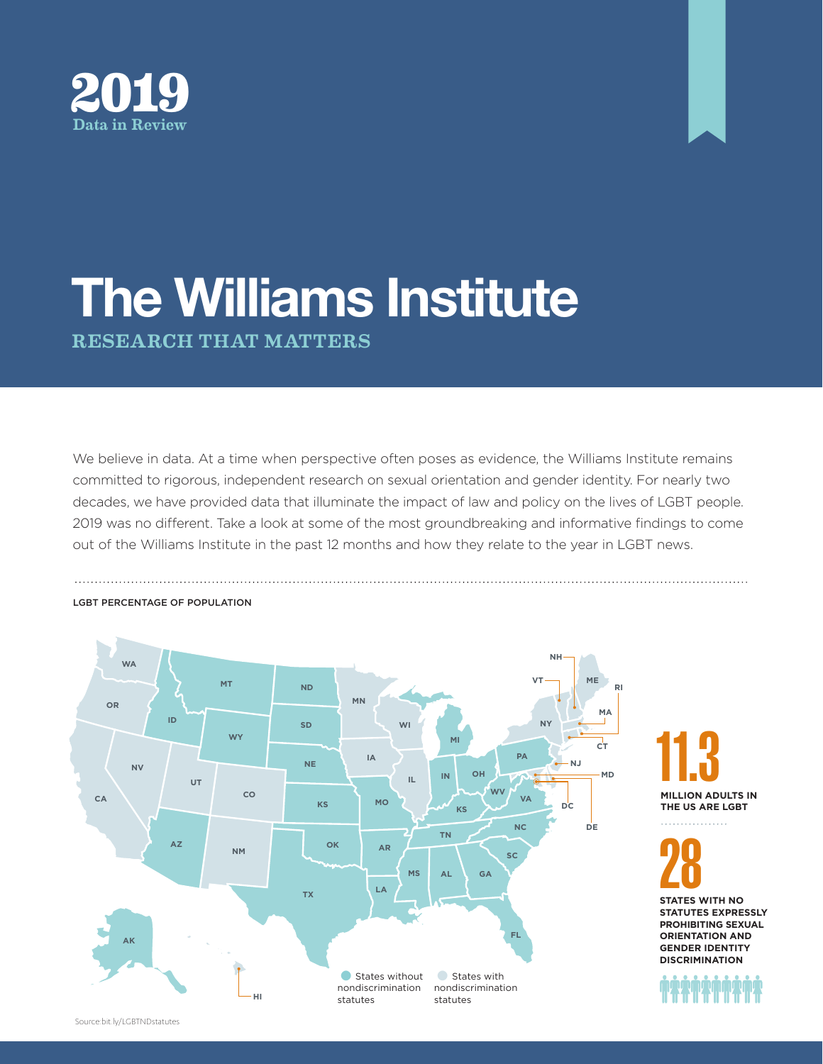



## The Williams Institute RESEARCH THAT MATTERS

We believe in data. At a time when perspective often poses as evidence, the Williams Institute remains committed to rigorous, independent research on sexual orientation and gender identity. For nearly two decades, we have provided data that illuminate the impact of law and policy on the lives of LGBT people. 2019 was no different. Take a look at some of the most groundbreaking and informative findings to come out of the Williams Institute in the past 12 months and how they relate to the year in LGBT news.



## LGBT PERCENTAGE OF POPULATION

**MILLION ADULTS IN THE US ARE LGBT**

**28**<br>STATES WITH NO **STATUTES EXPRESSLY PROHIBITING SEXUAL ORIENTATION AND GENDER IDENTITY DISCRIMINATION**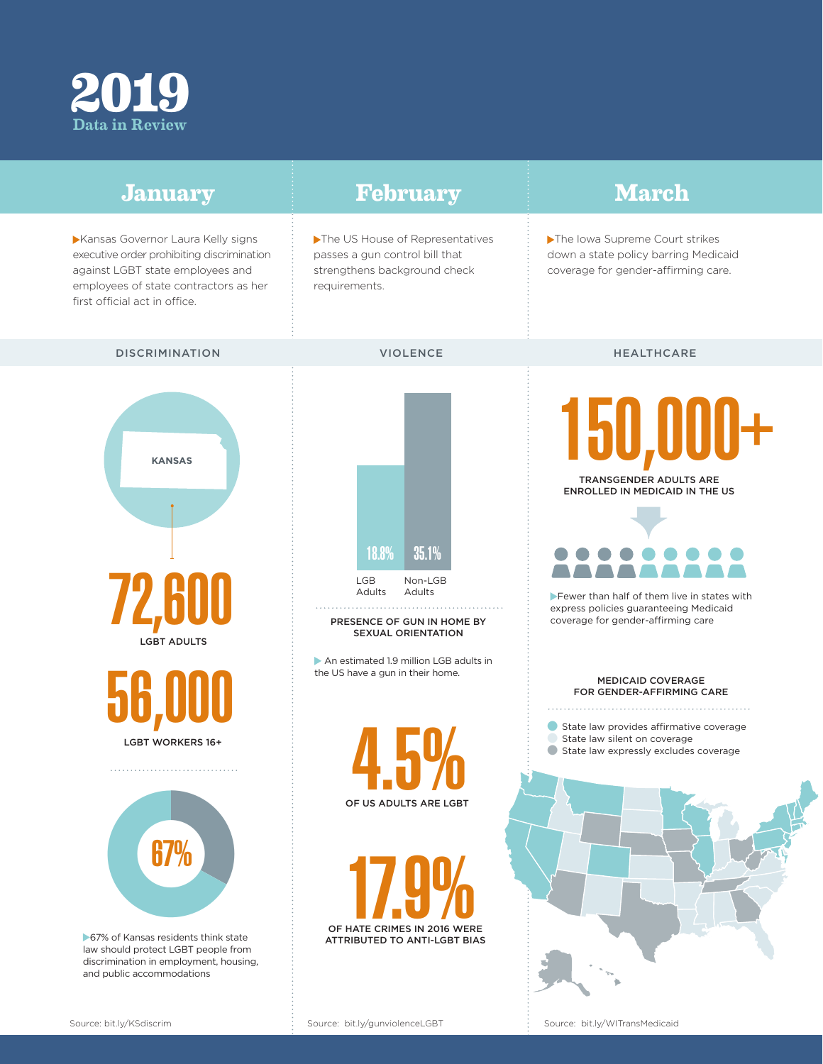

| <b>January</b>                                                                                                                                                                                | February                                                                                                           | <b>March</b>                                                                                                                                                                                        |
|-----------------------------------------------------------------------------------------------------------------------------------------------------------------------------------------------|--------------------------------------------------------------------------------------------------------------------|-----------------------------------------------------------------------------------------------------------------------------------------------------------------------------------------------------|
| Kansas Governor Laura Kelly signs<br>executive order prohibiting discrimination<br>against LGBT state employees and<br>employees of state contractors as her<br>first official act in office. | The US House of Representatives<br>passes a gun control bill that<br>strengthens background check<br>requirements. | The Iowa Supreme Court strikes<br>down a state policy barring Medicaid<br>coverage for gender-affirming care.                                                                                       |
| <b>DISCRIMINATION</b>                                                                                                                                                                         | <b>VIOLENCE</b>                                                                                                    | HEALTHCARE                                                                                                                                                                                          |
| <b>KANSAS</b><br><b>72 RNN</b><br><b>LGBT ADULTS</b>                                                                                                                                          | 18.8%<br>35.1%<br>LGB<br>Non-LGB<br>Adults<br>Adults<br>PRESENCE OF GUN IN HOME BY<br>SEXUAL ORIENTATION           | 150,000+<br>TRANSGENDER ADULTS ARE<br>ENROLLED IN MEDICAID IN THE US<br>Fewer than half of them live in states with<br>express policies guaranteeing Medicaid<br>coverage for gender-affirming care |
| <b>LGBT WORKERS 16+</b>                                                                                                                                                                       | An estimated 1.9 million LGB adults in<br>the US have a gun in their home.                                         | MEDICAID COVERAGE<br>FOR GENDER-AFFIRMING CARE<br>State law provides affirmative coverage<br>State law silent on coverage<br>State law expressly excludes coverage                                  |
| 67%<br>67% of Kansas residents think state<br>law should protect LGBT people from<br>discrimination in employment, housing,<br>and public accommodations                                      | 7U<br>T, U<br>OF US ADULTS ARE LGBT<br>OF HATE CRIMES IN 2016 WERE<br>ATTRIBUTED TO ANTI-LGBT BIAS                 |                                                                                                                                                                                                     |

Source: bit.ly/WITransMedicaid

Í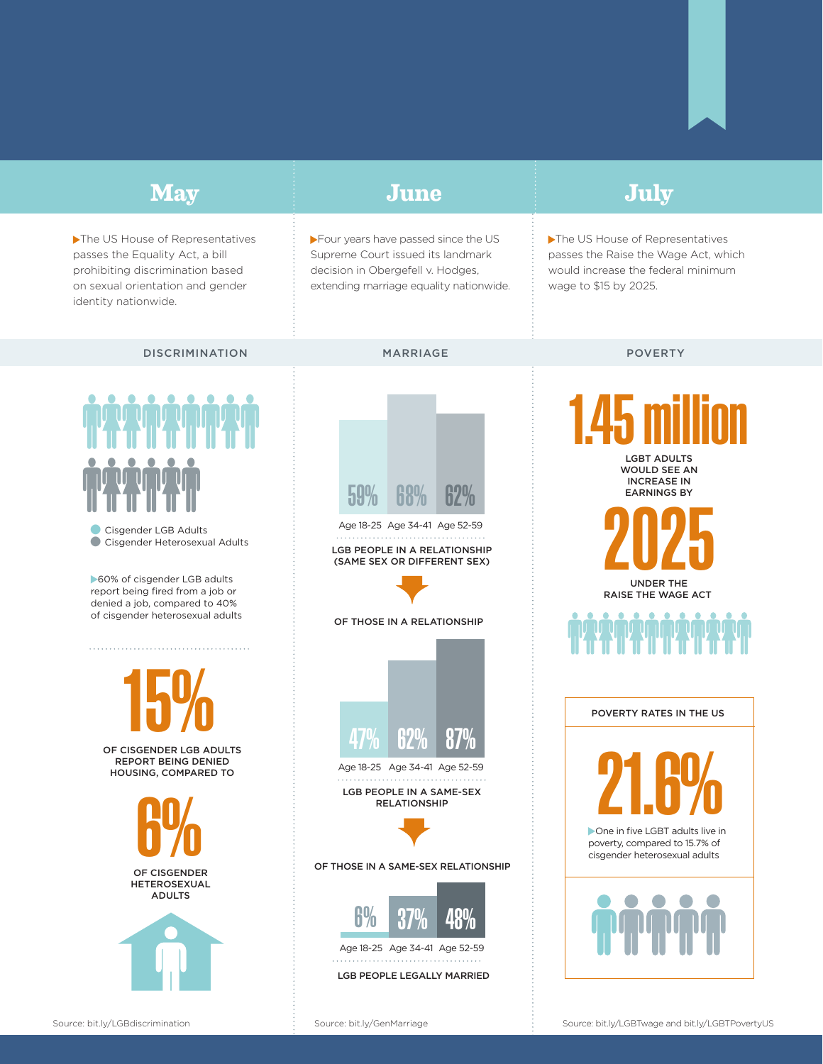## **January February March May June July** Four years have passed since the US The US House of Representatives The US House of Representatives passes the Equality Act, a bill Supreme Court issued its landmark passes the Raise the Wage Act, which prohibiting discrimination based decision in Obergefell v. Hodges, would increase the federal minimum on sexual orientation and gender extending marriage equality nationwide. wage to \$15 by 2025. identity nationwide. DISCRIMINATION MARRIAGE POVERTY 1.45 million LGBT ADULTS WOULD SEE AN INCREASE IN 59% EARNINGS BY 2025 Age 18-25 Age 34-41 Age 52-59 **Cisgender LGB Adults • Cisgender Heterosexual Adults** LGB PEOPLE IN A RELATIONSHIP (SAME SEX OR DIFFERENT SEX) ▶60% of cisgender LGB adults UNDER THE report being fired from a job or RAISE THE WAGE ACT denied a job, compared to 40% of cisgender heterosexual adults OF THOSE IN A RELATIONSHIP . . . . . . . . . . . . . . . . . . . . . . . . . . . . . . . . . 15% POVERTY RATES IN THE US 47% 62% 87% OF CISGENDER LGB ADULTS **21.6%** REPORT BEING DENIED Age 18-25 Age 34-41 Age 52-59 HOUSING, COMPARED TO LGB PEOPLE IN A SAME-SEX **COMPUTER** RELATIONSHIP poverty, compared to 15.7% of cisgender heterosexual adults OF THOSE IN A SAME-SEX RELATIONSHIPHETEROSEXUAL ADULTS  $6%$ Age 18-25 Age 34-41 Age 52-59 . . . . . . . . . . . LGB PEOPLE LEGALLY MARRIED